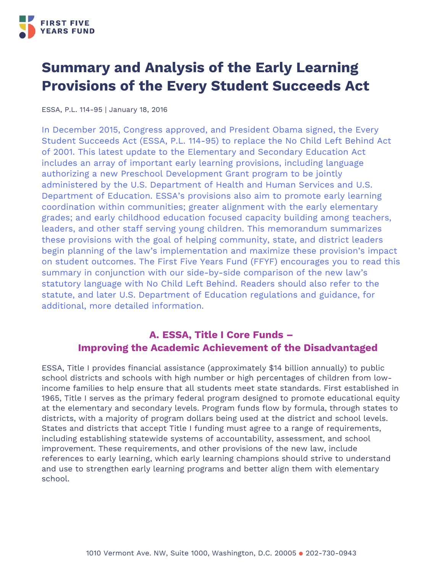

# **Summary and Analysis of the Early Learning Provisions of the Every Student Succeeds Act**

ESSA, P.L. 114-95 | January 18, 2016

In December 2015, Congress approved, and President Obama signed, the Every Student Succeeds Act (ESSA, P.L. 114-95) to replace the No Child Left Behind Act of 2001. This latest update to the Elementary and Secondary Education Act includes an array of important early learning provisions, including language authorizing a new Preschool Development Grant program to be jointly administered by the U.S. Department of Health and Human Services and U.S. Department of Education. ESSA's provisions also aim to promote early learning coordination within communities; greater alignment with the early elementary grades; and early childhood education focused capacity building among teachers, leaders, and other staff serving young children. This memorandum summarizes these provisions with the goal of helping community, state, and district leaders begin planning of the law's implementation and maximize these provision's impact on student outcomes. The First Five Years Fund (FFYF) encourages you to read this summary in conjunction with our side-by-side comparison of the new law's statutory language with No Child Left Behind. Readers should also refer to the statute, and later U.S. Department of Education regulations and guidance, for additional, more detailed information.

### **A. ESSA, Title I Core Funds – Improving the Academic Achievement of the Disadvantaged**

ESSA, Title I provides financial assistance (approximately \$14 billion annually) to public school districts and schools with high number or high percentages of children from lowincome families to help ensure that all students meet state standards. First established in 1965, Title I serves as the primary federal program designed to promote educational equity at the elementary and secondary levels. Program funds flow by formula, through states to districts, with a majority of program dollars being used at the district and school levels. States and districts that accept Title I funding must agree to a range of requirements, including establishing statewide systems of accountability, assessment, and school improvement. These requirements, and other provisions of the new law, include references to early learning, which early learning champions should strive to understand and use to strengthen early learning programs and better align them with elementary school.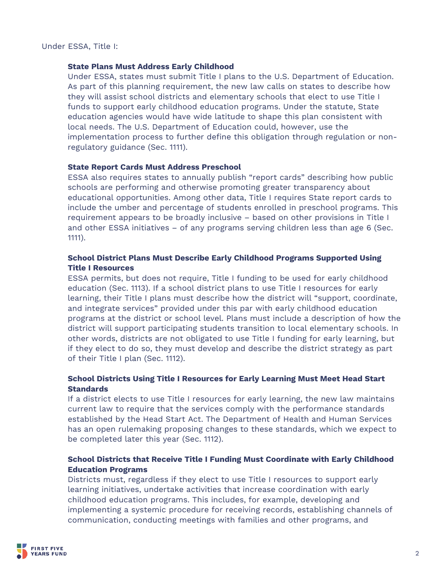Under ESSA, Title I:

#### **State Plans Must Address Early Childhood**

Under ESSA, states must submit Title I plans to the U.S. Department of Education. As part of this planning requirement, the new law calls on states to describe how they will assist school districts and elementary schools that elect to use Title I funds to support early childhood education programs. Under the statute, State education agencies would have wide latitude to shape this plan consistent with local needs. The U.S. Department of Education could, however, use the implementation process to further define this obligation through regulation or nonregulatory guidance (Sec. 1111).

#### **State Report Cards Must Address Preschool**

ESSA also requires states to annually publish "report cards" describing how public schools are performing and otherwise promoting greater transparency about educational opportunities. Among other data, Title I requires State report cards to include the umber and percentage of students enrolled in preschool programs. This requirement appears to be broadly inclusive – based on other provisions in Title I and other ESSA initiatives – of any programs serving children less than age 6 (Sec. 1111).

### **School District Plans Must Describe Early Childhood Programs Supported Using Title I Resources**

ESSA permits, but does not require, Title I funding to be used for early childhood education (Sec. 1113). If a school district plans to use Title I resources for early learning, their Title I plans must describe how the district will "support, coordinate, and integrate services" provided under this par with early childhood education programs at the district or school level. Plans must include a description of how the district will support participating students transition to local elementary schools. In other words, districts are not obligated to use Title I funding for early learning, but if they elect to do so, they must develop and describe the district strategy as part of their Title I plan (Sec. 1112).

### **School Districts Using Title I Resources for Early Learning Must Meet Head Start Standards**

If a district elects to use Title I resources for early learning, the new law maintains current law to require that the services comply with the performance standards established by the Head Start Act. The Department of Health and Human Services has an open rulemaking proposing changes to these standards, which we expect to be completed later this year (Sec. 1112).

### **School Districts that Receive Title I Funding Must Coordinate with Early Childhood Education Programs**

Districts must, regardless if they elect to use Title I resources to support early learning initiatives, undertake activities that increase coordination with early childhood education programs. This includes, for example, developing and implementing a systemic procedure for receiving records, establishing channels of communication, conducting meetings with families and other programs, and

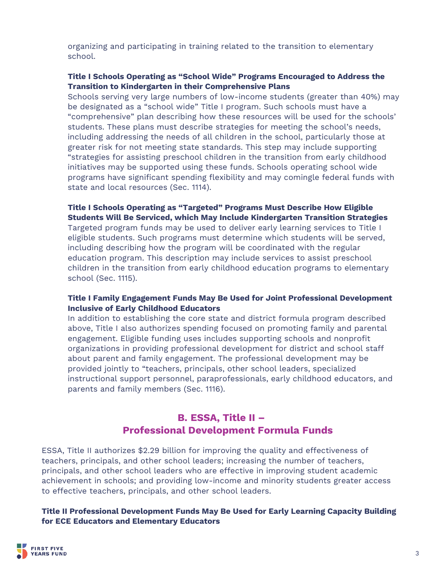organizing and participating in training related to the transition to elementary school.

### **Title I Schools Operating as "School Wide" Programs Encouraged to Address the Transition to Kindergarten in their Comprehensive Plans**

Schools serving very large numbers of low-income students (greater than 40%) may be designated as a "school wide" Title I program. Such schools must have a "comprehensive" plan describing how these resources will be used for the schools' students. These plans must describe strategies for meeting the school's needs, including addressing the needs of all children in the school, particularly those at greater risk for not meeting state standards. This step may include supporting "strategies for assisting preschool children in the transition from early childhood initiatives may be supported using these funds. Schools operating school wide programs have significant spending flexibility and may comingle federal funds with state and local resources (Sec. 1114).

### **Title I Schools Operating as "Targeted" Programs Must Describe How Eligible Students Will Be Serviced, which May Include Kindergarten Transition Strategies**

Targeted program funds may be used to deliver early learning services to Title I eligible students. Such programs must determine which students will be served, including describing how the program will be coordinated with the regular education program. This description may include services to assist preschool children in the transition from early childhood education programs to elementary school (Sec. 1115).

### **Title I Family Engagement Funds May Be Used for Joint Professional Development Inclusive of Early Childhood Educators**

In addition to establishing the core state and district formula program described above, Title I also authorizes spending focused on promoting family and parental engagement. Eligible funding uses includes supporting schools and nonprofit organizations in providing professional development for district and school staff about parent and family engagement. The professional development may be provided jointly to "teachers, principals, other school leaders, specialized instructional support personnel, paraprofessionals, early childhood educators, and parents and family members (Sec. 1116).

### **B. ESSA, Title II – Professional Development Formula Funds**

ESSA, Title II authorizes \$2.29 billion for improving the quality and effectiveness of teachers, principals, and other school leaders; increasing the number of teachers, principals, and other school leaders who are effective in improving student academic achievement in schools; and providing low-income and minority students greater access to effective teachers, principals, and other school leaders.

### **Title II Professional Development Funds May Be Used for Early Learning Capacity Building for ECE Educators and Elementary Educators**

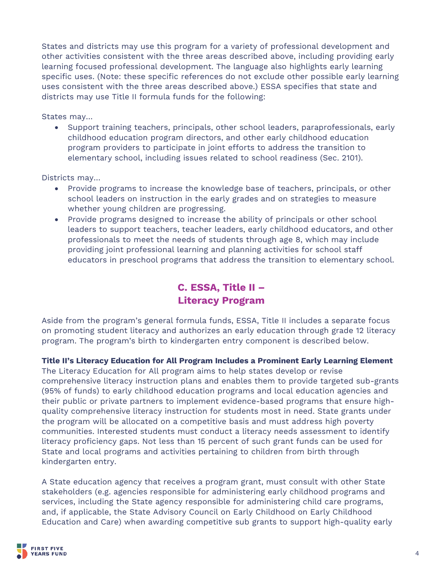States and districts may use this program for a variety of professional development and other activities consistent with the three areas described above, including providing early learning focused professional development. The language also highlights early learning specific uses. (Note: these specific references do not exclude other possible early learning uses consistent with the three areas described above.) ESSA specifies that state and districts may use Title II formula funds for the following:

States may…

• Support training teachers, principals, other school leaders, paraprofessionals, early childhood education program directors, and other early childhood education program providers to participate in joint efforts to address the transition to elementary school, including issues related to school readiness (Sec. 2101).

Districts may…

- Provide programs to increase the knowledge base of teachers, principals, or other school leaders on instruction in the early grades and on strategies to measure whether young children are progressing.
- Provide programs designed to increase the ability of principals or other school leaders to support teachers, teacher leaders, early childhood educators, and other professionals to meet the needs of students through age 8, which may include providing joint professional learning and planning activities for school staff educators in preschool programs that address the transition to elementary school.

# **C. ESSA, Title II – Literacy Program**

Aside from the program's general formula funds, ESSA, Title II includes a separate focus on promoting student literacy and authorizes an early education through grade 12 literacy program. The program's birth to kindergarten entry component is described below.

**Title II's Literacy Education for All Program Includes a Prominent Early Learning Element** 

The Literacy Education for All program aims to help states develop or revise comprehensive literacy instruction plans and enables them to provide targeted sub-grants (95% of funds) to early childhood education programs and local education agencies and their public or private partners to implement evidence-based programs that ensure highquality comprehensive literacy instruction for students most in need. State grants under the program will be allocated on a competitive basis and must address high poverty communities. Interested students must conduct a literacy needs assessment to identify literacy proficiency gaps. Not less than 15 percent of such grant funds can be used for State and local programs and activities pertaining to children from birth through kindergarten entry.

A State education agency that receives a program grant, must consult with other State stakeholders (e.g. agencies responsible for administering early childhood programs and services, including the State agency responsible for administering child care programs, and, if applicable, the State Advisory Council on Early Childhood on Early Childhood Education and Care) when awarding competitive sub grants to support high-quality early

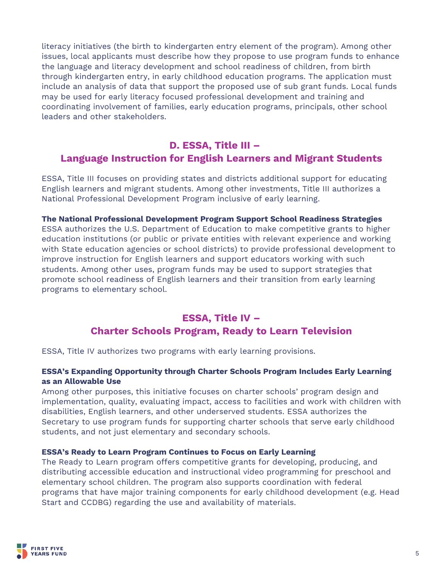literacy initiatives (the birth to kindergarten entry element of the program). Among other issues, local applicants must describe how they propose to use program funds to enhance the language and literacy development and school readiness of children, from birth through kindergarten entry, in early childhood education programs. The application must include an analysis of data that support the proposed use of sub grant funds. Local funds may be used for early literacy focused professional development and training and coordinating involvement of families, early education programs, principals, other school leaders and other stakeholders.

### **D. ESSA, Title III – Language Instruction for English Learners and Migrant Students**

ESSA, Title III focuses on providing states and districts additional support for educating English learners and migrant students. Among other investments, Title III authorizes a National Professional Development Program inclusive of early learning.

**The National Professional Development Program Support School Readiness Strategies**  ESSA authorizes the U.S. Department of Education to make competitive grants to higher education institutions (or public or private entities with relevant experience and working with State education agencies or school districts) to provide professional development to improve instruction for English learners and support educators working with such students. Among other uses, program funds may be used to support strategies that promote school readiness of English learners and their transition from early learning programs to elementary school.

### **ESSA, Title IV – Charter Schools Program, Ready to Learn Television**

ESSA, Title IV authorizes two programs with early learning provisions.

### **ESSA's Expanding Opportunity through Charter Schools Program Includes Early Learning as an Allowable Use**

Among other purposes, this initiative focuses on charter schools' program design and implementation, quality, evaluating impact, access to facilities and work with children with disabilities, English learners, and other underserved students. ESSA authorizes the Secretary to use program funds for supporting charter schools that serve early childhood students, and not just elementary and secondary schools.

### **ESSA's Ready to Learn Program Continues to Focus on Early Learning**

The Ready to Learn program offers competitive grants for developing, producing, and distributing accessible education and instructional video programming for preschool and elementary school children. The program also supports coordination with federal programs that have major training components for early childhood development (e.g. Head Start and CCDBG) regarding the use and availability of materials.

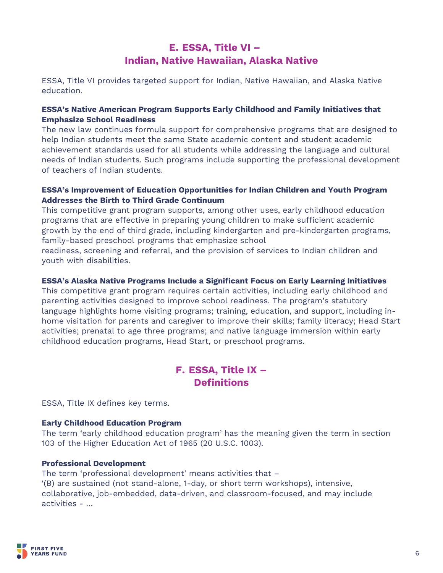# **E. ESSA, Title VI – Indian, Native Hawaiian, Alaska Native**

ESSA, Title VI provides targeted support for Indian, Native Hawaiian, and Alaska Native education.

### **ESSA's Native American Program Supports Early Childhood and Family Initiatives that Emphasize School Readiness**

The new law continues formula support for comprehensive programs that are designed to help Indian students meet the same State academic content and student academic achievement standards used for all students while addressing the language and cultural needs of Indian students. Such programs include supporting the professional development of teachers of Indian students.

### **ESSA's Improvement of Education Opportunities for Indian Children and Youth Program Addresses the Birth to Third Grade Continuum**

This competitive grant program supports, among other uses, early childhood education programs that are effective in preparing young children to make sufficient academic growth by the end of third grade, including kindergarten and pre-kindergarten programs, family-based preschool programs that emphasize school

readiness, screening and referral, and the provision of services to Indian children and youth with disabilities.

### **ESSA's Alaska Native Programs Include a Significant Focus on Early Learning Initiatives**

This competitive grant program requires certain activities, including early childhood and parenting activities designed to improve school readiness. The program's statutory language highlights home visiting programs; training, education, and support, including inhome visitation for parents and caregiver to improve their skills; family literacy; Head Start activities; prenatal to age three programs; and native language immersion within early childhood education programs, Head Start, or preschool programs.

## **F. ESSA, Title IX – Definitions**

ESSA, Title IX defines key terms.

### **Early Childhood Education Program**

The term 'early childhood education program' has the meaning given the term in section 103 of the Higher Education Act of 1965 (20 U.S.C. 1003).

### **Professional Development**

The term 'professional development' means activities that – '(B) are sustained (not stand-alone, 1-day, or short term workshops), intensive, collaborative, job-embedded, data-driven, and classroom-focused, and may include activities - …